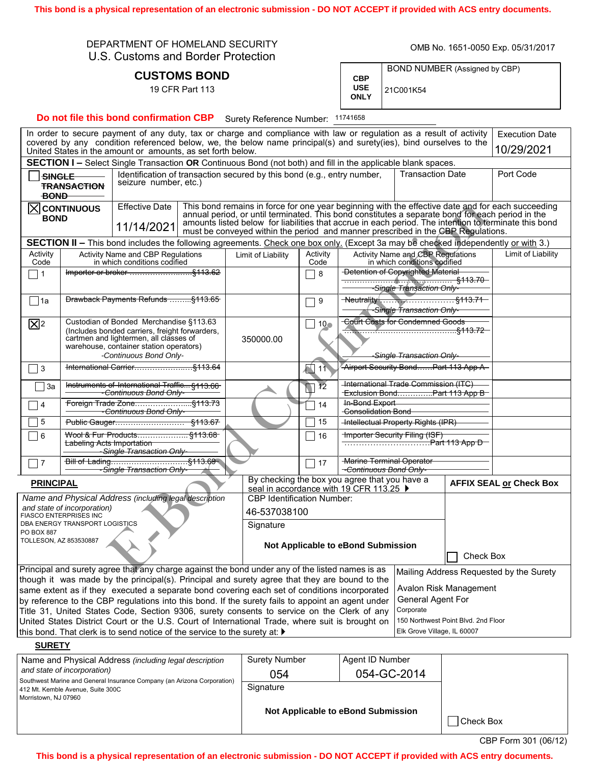This bond is a physical representation of an electronic submission - DO NOT ACCEPT if provided with ACS entry documents.

| DEPARTMENT OF HOMELAND SECURITY    |
|------------------------------------|
| U.S. Customs and Border Protection |

**CUSTOMS BOND** 19 CFR Part 113

OMB No. 1651-0050 Exp. 05/31/2017

|                                  | BOND NUMBER (Assigned by CBP) |
|----------------------------------|-------------------------------|
| <b>CBP</b><br><b>USE</b><br>ONLY | 21C001K54                     |

Do not file this bond confirmation CBP Surety Reference Number: 11741658

| In order to secure payment of any duty, tax or charge and compliance with law or regulation as a result of activity<br><b>Execution Date</b>                                                                            |                                                                                           |                                                                                             |           |                                                                                                                                   |                                                                                                                                                                                                                                                                                                                                                                                                    |                                                                                          |                                     |  |                                |
|-------------------------------------------------------------------------------------------------------------------------------------------------------------------------------------------------------------------------|-------------------------------------------------------------------------------------------|---------------------------------------------------------------------------------------------|-----------|-----------------------------------------------------------------------------------------------------------------------------------|----------------------------------------------------------------------------------------------------------------------------------------------------------------------------------------------------------------------------------------------------------------------------------------------------------------------------------------------------------------------------------------------------|------------------------------------------------------------------------------------------|-------------------------------------|--|--------------------------------|
| covered by any condition referenced below, we, the below name principal(s) and surety(ies), bind ourselves to the<br>United States in the amount or amounts, as set forth below.                                        |                                                                                           |                                                                                             |           |                                                                                                                                   |                                                                                                                                                                                                                                                                                                                                                                                                    | 10/29/2021                                                                               |                                     |  |                                |
| <b>SECTION I –</b> Select Single Transaction OR Continuous Bond (not both) and fill in the applicable blank spaces.                                                                                                     |                                                                                           |                                                                                             |           |                                                                                                                                   |                                                                                                                                                                                                                                                                                                                                                                                                    |                                                                                          |                                     |  |                                |
| <b>SINGLE</b><br>seizure number, etc.)<br><b>TRANSACTION</b>                                                                                                                                                            |                                                                                           |                                                                                             |           |                                                                                                                                   | <b>Transaction Date</b><br>Identification of transaction secured by this bond (e.g., entry number,                                                                                                                                                                                                                                                                                                 |                                                                                          |                                     |  | Port Code                      |
|                                                                                                                                                                                                                         | <b>BOND</b>                                                                               |                                                                                             |           |                                                                                                                                   |                                                                                                                                                                                                                                                                                                                                                                                                    |                                                                                          |                                     |  |                                |
| <b>Effective Date</b><br>$ \overline{\mathsf{X}} $ CONTINUOUS<br><b>BOND</b><br>11/14/2021                                                                                                                              |                                                                                           |                                                                                             |           |                                                                                                                                   | This bond remains in force for one year beginning with the effective date and for each succeeding<br>annual period, or until terminated. This bond constitutes a separate bond for each period in the<br>amounts listed below for liabilities that accrue in each period. The intention to terminate this bond<br>must be conveyed within the period and manner prescribed in the CBP Regulations. |                                                                                          |                                     |  |                                |
|                                                                                                                                                                                                                         |                                                                                           |                                                                                             |           | SECTION II - This bond includes the following agreements. Check one box only. (Except 3a may be checked independently or with 3.) |                                                                                                                                                                                                                                                                                                                                                                                                    |                                                                                          |                                     |  |                                |
| Activity<br>Code                                                                                                                                                                                                        |                                                                                           | Activity Name and CBP Regulations<br>in which conditions codified                           |           | Limit of Liability                                                                                                                | Activity<br>Code                                                                                                                                                                                                                                                                                                                                                                                   | Activity Name and CBP Regulations<br>in which conditions codified                        |                                     |  | Limit of Liability             |
| $\Box$ 1                                                                                                                                                                                                                |                                                                                           |                                                                                             |           |                                                                                                                                   | $\Box$ 8                                                                                                                                                                                                                                                                                                                                                                                           | <b>Detention of Copyrighted Material</b>                                                 |                                     |  |                                |
| 1a                                                                                                                                                                                                                      |                                                                                           | Drawback Payments Refunds §113.65                                                           |           |                                                                                                                                   | $\bigcap$ 9                                                                                                                                                                                                                                                                                                                                                                                        | -Single Transaction Only-                                                                |                                     |  |                                |
| $\mathbb{Z}^2$                                                                                                                                                                                                          | Custodian of Bonded Merchandise §113.63<br>(Includes bonded carriers, freight forwarders, |                                                                                             |           |                                                                                                                                   | $110 -$                                                                                                                                                                                                                                                                                                                                                                                            | <b>Court Costs for Condemned Goods</b>                                                   |                                     |  |                                |
| cartmen and lightermen, all classes of<br>warehouse, container station operators)                                                                                                                                       |                                                                                           |                                                                                             | 350000.00 |                                                                                                                                   |                                                                                                                                                                                                                                                                                                                                                                                                    |                                                                                          |                                     |  |                                |
| $\Box$ 3                                                                                                                                                                                                                | -Continuous Bond Only-                                                                    |                                                                                             |           |                                                                                                                                   | $\sqrt{11}$                                                                                                                                                                                                                                                                                                                                                                                        | Airport Security BondPart 113 App A                                                      | <del>-Single Transaction Only</del> |  |                                |
|                                                                                                                                                                                                                         |                                                                                           |                                                                                             |           |                                                                                                                                   |                                                                                                                                                                                                                                                                                                                                                                                                    |                                                                                          |                                     |  |                                |
| ⊟ 3a                                                                                                                                                                                                                    | Instruments of International Traffic §113.66<br><del>-Continuous Bond Only-</del>         |                                                                                             |           |                                                                                                                                   | <b>International Trade Commission (ITC)</b><br>$\sqrt{12}$<br>Exclusion BondPart 113 App B                                                                                                                                                                                                                                                                                                         |                                                                                          |                                     |  |                                |
| 4                                                                                                                                                                                                                       | <del>- Continuous Bond Only-</del>                                                        |                                                                                             |           |                                                                                                                                   | $\overline{1}$ 14                                                                                                                                                                                                                                                                                                                                                                                  | In-Bond Export<br><b>Consolidation Bond</b>                                              |                                     |  |                                |
| 5                                                                                                                                                                                                                       |                                                                                           |                                                                                             |           | 15                                                                                                                                | <b>Intellectual Property Rights (IPR)</b>                                                                                                                                                                                                                                                                                                                                                          |                                                                                          |                                     |  |                                |
| l 6                                                                                                                                                                                                                     |                                                                                           | Wool & Fur Products §113.68<br><b>Labeling Acts Importation</b><br>Single Transaction Only- |           |                                                                                                                                   | 16                                                                                                                                                                                                                                                                                                                                                                                                 | Importer Security Filing (ISF)                                                           |                                     |  |                                |
| $\Box$ 7                                                                                                                                                                                                                |                                                                                           | <del>-Single Transaction Only-</del>                                                        |           |                                                                                                                                   | $\bigcap$ 17                                                                                                                                                                                                                                                                                                                                                                                       | <b>Marine Terminal Operator</b><br><del>-Continuous Bond Only-</del>                     |                                     |  |                                |
| <b>PRINCIPAL</b>                                                                                                                                                                                                        |                                                                                           |                                                                                             |           |                                                                                                                                   |                                                                                                                                                                                                                                                                                                                                                                                                    | By checking the box you agree that you have a<br>seal in accordance with 19 CFR 113.25 ▶ |                                     |  | <b>AFFIX SEAL or Check Box</b> |
|                                                                                                                                                                                                                         |                                                                                           | Name and Physical Address (including legal description                                      |           | <b>CBP Identification Number:</b>                                                                                                 |                                                                                                                                                                                                                                                                                                                                                                                                    |                                                                                          |                                     |  |                                |
| and state of incorporation)<br>FIASCO ENTERPRISES INC                                                                                                                                                                   |                                                                                           |                                                                                             |           |                                                                                                                                   | 46-537038100                                                                                                                                                                                                                                                                                                                                                                                       |                                                                                          |                                     |  |                                |
| DBA ENERGY TRANSPORT LOGISTICS<br>PO BOX 887                                                                                                                                                                            |                                                                                           |                                                                                             | Signature |                                                                                                                                   |                                                                                                                                                                                                                                                                                                                                                                                                    |                                                                                          |                                     |  |                                |
| TOLLESON, AZ 853530887                                                                                                                                                                                                  |                                                                                           |                                                                                             |           | Not Applicable to eBond Submission                                                                                                |                                                                                                                                                                                                                                                                                                                                                                                                    |                                                                                          | Check Box                           |  |                                |
| Principal and surety agree that any charge against the bond under any of the listed names is as<br>Mailing Address Requested by the Surety                                                                              |                                                                                           |                                                                                             |           |                                                                                                                                   |                                                                                                                                                                                                                                                                                                                                                                                                    |                                                                                          |                                     |  |                                |
| though it was made by the principal(s). Principal and surety agree that they are bound to the<br>Avalon Risk Management<br>same extent as if they executed a separate bond covering each set of conditions incorporated |                                                                                           |                                                                                             |           |                                                                                                                                   |                                                                                                                                                                                                                                                                                                                                                                                                    |                                                                                          |                                     |  |                                |
| Conoral Agont For<br>by esterance to the CDD requisions into this hough. If the cursts fails to consist on const under                                                                                                  |                                                                                           |                                                                                             |           |                                                                                                                                   |                                                                                                                                                                                                                                                                                                                                                                                                    |                                                                                          |                                     |  |                                |

by reference to the CBP regulations into this bond. If the surety fails to appoint an agent under Title 31, United States Code, Section 9306, surety consents to service on the Clerk of any United States District Court or the U.S. Court of International Trade, where suit is brought on this bond. That clerk is to send notice of the service to the surety at:  $\blacktriangleright$ 

General Agent ⊢or Corporate

150 Northwest Point Blvd. 2nd Floor Elk Grove Village, IL 60007

## **SURETY**

| Name and Physical Address (including legal description<br>and state of incorporation)<br>Southwest Marine and General Insurance Company (an Arizona Corporation) | <b>Surety Number</b><br>054        | Agent ID Number<br>054-GC-2014 |           |
|------------------------------------------------------------------------------------------------------------------------------------------------------------------|------------------------------------|--------------------------------|-----------|
| 412 Mt. Kemble Avenue, Suite 300C<br>Morristown, NJ 07960                                                                                                        | Signature                          |                                |           |
|                                                                                                                                                                  | Not Applicable to eBond Submission |                                | Check Box |